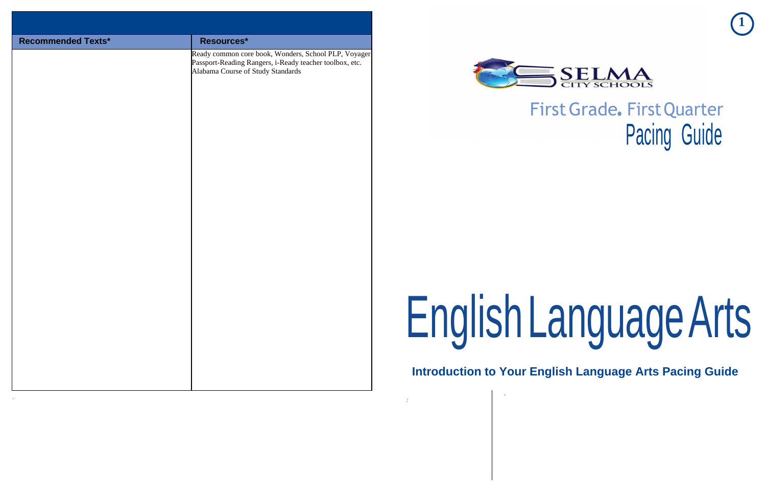**1**

# **Language Arts**

**Inglish Language Arts Pacing Guide** 

# First Grade. First Quarter Pacing Guide

| <b>Recommended Texts*</b> | Resources*<br>Ready common core book, Wonders, School PLP, Voyager<br>Passport-Reading Rangers, i-Ready teacher toolbox, etc.<br>Alabama Course of Study Standards |                                            |
|---------------------------|--------------------------------------------------------------------------------------------------------------------------------------------------------------------|--------------------------------------------|
|                           |                                                                                                                                                                    | EnglishL<br><b>Introduction to Your Er</b> |

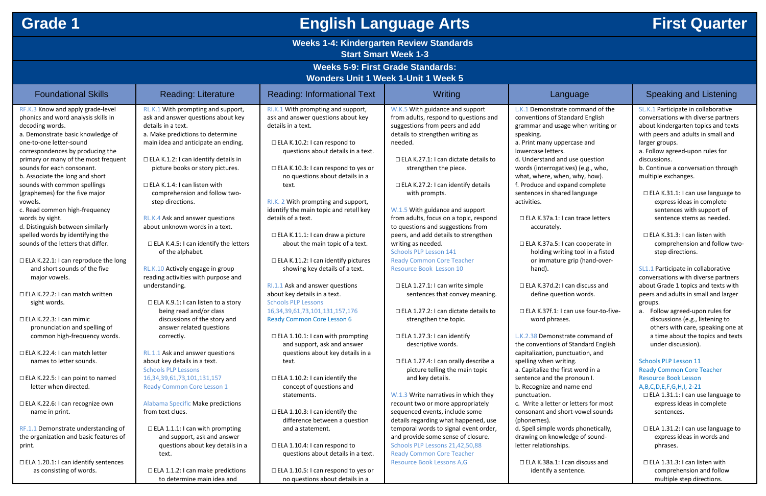# **Grade 1 English Language Arts First Quarter**

## **Weeks 1-4: Kindergarten Review Standards**

**Start Smart Week 1-3**

## **Weeks 5-9: First Grade Standards:**

**Wonders Unit 1 Week 1-Unit 1 Week 5**

| <b>INVITUDED SUITE I MEER TEUTHET MEER J</b> |                                              |                                            |                                             |                                        |                                          |
|----------------------------------------------|----------------------------------------------|--------------------------------------------|---------------------------------------------|----------------------------------------|------------------------------------------|
| <b>Foundational Skills</b>                   | <b>Reading: Literature</b>                   | <b>Reading: Informational Text</b>         | Writing                                     | Language                               | Speaking and Listening                   |
| RF.K.3 Know and apply grade-level            | RL.K.1 With prompting and support,           | RI.K.1 With prompting and support,         | W.K.5 With guidance and support             | L.K.1 Demonstrate command of the       | SL.K.1 Participate in collaborative      |
| phonics and word analysis skills in          | ask and answer questions about key           | ask and answer questions about key         | from adults, respond to questions and       | conventions of Standard English        | conversations with diverse partners      |
| decoding words.                              | details in a text.                           | details in a text.                         | suggestions from peers and add              | grammar and usage when writing or      | about kindergarten topics and texts      |
| a. Demonstrate basic knowledge of            | a. Make predictions to determine             |                                            | details to strengthen writing as            | speaking.                              | with peers and adults in small and       |
| one-to-one letter-sound                      | main idea and anticipate an ending.          | $\Box$ ELA K.10.2: I can respond to        | needed.                                     | a. Print many uppercase and            | larger groups.                           |
| correspondences by producing the             |                                              | questions about details in a text.         |                                             | lowercase letters.                     | a. Follow agreed-upon rules for          |
| primary or many of the most frequent         | $\Box$ ELA K.1.2: I can identify details in  |                                            | $\Box$ ELA K.27.1: I can dictate details to | d. Understand and use question         | discussions.                             |
| sounds for each consonant.                   | picture books or story pictures.             | $\Box$ ELA K.10.3: I can respond to yes or | strengthen the piece.                       | words (interrogatives) (e.g., who,     | b. Continue a conversation through       |
| b. Associate the long and short              |                                              | no questions about details in a            |                                             | what, where, when, why, how).          | multiple exchanges.                      |
| sounds with common spellings                 | $\Box$ ELA K.1.4: I can listen with          | text.                                      | $\Box$ ELA K.27.2: I can identify details   | f. Produce and expand complete         |                                          |
| (graphemes) for the five major               | comprehension and follow two-                |                                            | with prompts.                               | sentences in shared language           | $\Box$ ELA K.31.1: I can use language to |
| vowels.                                      | step directions.                             | RI.K. 2 With prompting and support,        |                                             | activities.                            | express ideas in complete                |
| c. Read common high-frequency                |                                              | identify the main topic and retell key     | W.1.5 With guidance and support             |                                        | sentences with support of                |
| words by sight.                              | RL.K.4 Ask and answer questions              | details of a text.                         | from adults, focus on a topic, respond      | □ ELA K.37a.1: I can trace letters     | sentence stems as needed.                |
| d. Distinguish between similarly             | about unknown words in a text.               |                                            | to questions and suggestions from           | accurately.                            |                                          |
| spelled words by identifying the             |                                              | $\Box$ ELA K.11.1: I can draw a picture    | peers, and add details to strengthen        |                                        | $\Box$ ELA K.31.3: I can listen with     |
| sounds of the letters that differ.           | $\Box$ ELA K.4.5: I can identify the letters | about the main topic of a text.            | writing as needed.                          | □ ELA K.37a.5: I can cooperate in      | comprehension and follow two-            |
|                                              | of the alphabet.                             |                                            | <b>Schools PLP Lesson 141</b>               | holding writing tool in a fisted       | step directions.                         |
| $\Box$ ELA K.22.1: I can reproduce the long  |                                              | $\Box$ ELA K.11.2: I can identify pictures | <b>Ready Common Core Teacher</b>            | or immature grip (hand-over-           |                                          |
| and short sounds of the five                 | RL.K.10 Actively engage in group             | showing key details of a text.             | Resource Book Lesson 10                     | hand).                                 | SL1.1 Participate in collaborative       |
| major vowels.                                | reading activities with purpose and          |                                            |                                             |                                        | conversations with diverse partners      |
|                                              | understanding.                               | RI.1.1 Ask and answer questions            | $\Box$ ELA 1.27.1: I can write simple       | $\Box$ ELA K.37d.2: I can discuss and  | about Grade 1 topics and texts with      |
| $\Box$ ELA K.22.2: I can match written       |                                              | about key details in a text.               | sentences that convey meaning.              | define question words.                 | peers and adults in small and larger     |
| sight words.                                 | $\Box$ ELA K.9.1: I can listen to a story    | <b>Schools PLP Lessons</b>                 |                                             |                                        | groups.                                  |
|                                              | being read and/or class                      | 16, 34, 39, 61, 73, 101, 131, 157, 176     | $\Box$ ELA 1.27.2: I can dictate details to | □ ELA K.37f.1: I can use four-to-five- | Follow agreed-upon rules for<br>а.       |
| $\Box$ ELA K.22.3: I can mimic               | discussions of the story and                 | <b>Ready Common Core Lesson 6</b>          | strengthen the topic.                       | word phrases.                          | discussions (e.g., listening to          |
| pronunciation and spelling of                | answer related questions                     |                                            |                                             |                                        | others with care, speaking one at        |
| common high-frequency words.                 | correctly.                                   | $\Box$ ELA 1.10.1: I can with prompting    | $\Box$ ELA 1.27.3: I can identify           | L.K.2.38 Demonstrate command of        | a time about the topics and texts        |
|                                              |                                              | and support, ask and answer                | descriptive words.                          | the conventions of Standard English    | under discussion).                       |
| □ ELA K.22.4: I can match letter             | RL.1.1 Ask and answer questions              | questions about key details in a           |                                             | capitalization, punctuation, and       |                                          |
| names to letter sounds.                      | about key details in a text.                 | text.                                      | □ ELA 1.27.4: I can orally describe a       | spelling when writing.                 | <b>Schools PLP Lesson 11</b>             |
|                                              | <b>Schools PLP Lessons</b>                   |                                            | picture telling the main topic              | a. Capitalize the first word in a      | <b>Ready Common Core Teacher</b>         |
| $\Box$ ELA K.22.5: I can point to named      | 16, 34, 39, 61, 73, 101, 131, 157            | $\Box$ ELA 1.10.2: I can identify the      | and key details.                            | sentence and the pronoun I.            | <b>Resource Book Lesson</b>              |
| letter when directed.                        | <b>Ready Common Core Lesson 1</b>            | concept of questions and                   |                                             | b. Recognize and name end              | A, B, C, D, E, F, G, H, I, 2-21          |
|                                              |                                              | statements.                                | W.1.3 Write narratives in which they        | punctuation.                           | $\Box$ ELA 1.31.1: I can use language to |
| □ ELA K.22.6: I can recognize own            | Alabama Specific Make predictions            |                                            | recount two or more appropriately           | c. Write a letter or letters for most  | express ideas in complete                |
| name in print.                               | from text clues.                             | $\Box$ ELA 1.10.3: I can identify the      | sequenced events, include some              | consonant and short-vowel sounds       | sentences.                               |
|                                              |                                              | difference between a question              | details regarding what happened, use        | (phonemes).                            |                                          |
| RF.1.1 Demonstrate understanding of          | $\Box$ ELA 1.1.1: I can with prompting       | and a statement.                           | temporal words to signal event order,       | d. Spell simple words phonetically,    | □ ELA 1.31.2: I can use language to      |
| the organization and basic features of       | and support, ask and answer                  |                                            | and provide some sense of closure.          | drawing on knowledge of sound-         | express ideas in words and               |
| print.                                       | questions about key details in a             | $\Box$ ELA 1.10.4: I can respond to        | Schools PLP Lessons 21,42,50,88             | letter relationships.                  | phrases.                                 |
|                                              | text.                                        | questions about details in a text.         | <b>Ready Common Core Teacher</b>            |                                        |                                          |
| □ ELA 1.20.1: I can identify sentences       |                                              |                                            | Resource Book Lessons A,G                   | $\Box$ ELA K.38a.1: I can discuss and  | $\Box$ ELA 1.31.3: I can listen with     |
| as consisting of words.                      | $\Box$ ELA 1.1.2: I can make predictions     | $\Box$ ELA 1.10.5: I can respond to yes or |                                             | identify a sentence.                   | comprehension and follow                 |
|                                              | to determine main idea and                   | no questions about details in a            |                                             |                                        | multiple step directions.                |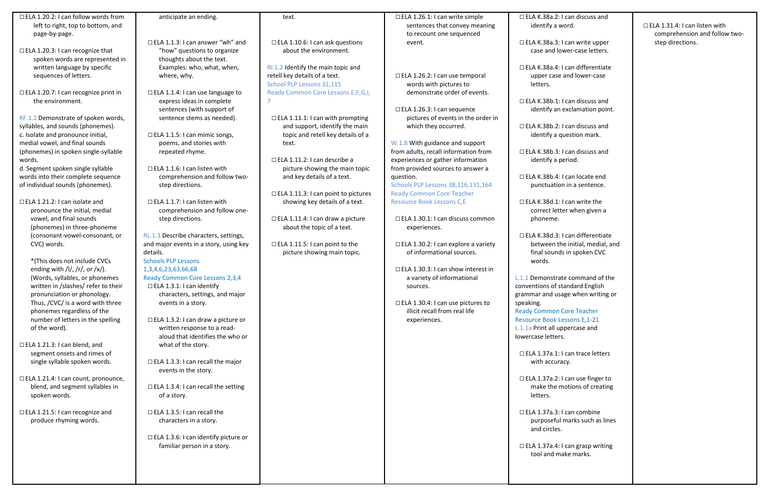| $\Box$ ELA 1.20.2: I can follow words from                     | anticipate an ending.                      | text.                                   | □ ELA 1.26.1: I can write simple                                     | $\Box$ ELA K.38a.2: I               |
|----------------------------------------------------------------|--------------------------------------------|-----------------------------------------|----------------------------------------------------------------------|-------------------------------------|
| left to right, top to bottom, and                              |                                            |                                         | sentences that convey meaning                                        | identify a wo                       |
| page-by-page.                                                  |                                            |                                         | to recount one sequenced                                             |                                     |
|                                                                | $\Box$ ELA 1.1.3: I can answer "wh" and    | $\Box$ ELA 1.10.6: I can ask questions  | event.                                                               | $\Box$ ELA K.38a.3: I               |
| $\Box$ ELA 1.20.3: I can recognize that                        | "how" questions to organize                | about the environment.                  |                                                                      | case and low                        |
| spoken words are represented in                                | thoughts about the text.                   |                                         |                                                                      |                                     |
| written language by specific                                   | Examples: who, what, when,                 | RI.1.2 Identify the main topic and      |                                                                      | $\Box$ ELA K.38a.4: I               |
| sequences of letters.                                          | where, why.                                | retell key details of a text.           | □ ELA 1.26.2: I can use temporal                                     | upper case a                        |
|                                                                |                                            | School PLP Lessons 31,115               | words with pictures to                                               | letters.                            |
| $\Box$ ELA 1.20.7: I can recognize print in                    | $\Box$ ELA 1.1.4: I can use language to    | Ready Common Core Lessons E, F, G, I,   | demonstrate order of events.                                         |                                     |
| the environment.                                               | express ideas in complete                  |                                         |                                                                      | $\Box$ ELA K.38b.1: I               |
|                                                                | sentences (with support of                 |                                         | □ ELA 1.26.3: I can sequence                                         | identify an e                       |
| RF.1.2 Demonstrate of spoken words,                            | sentence stems as needed).                 | $\Box$ ELA 1.11.1: I can with prompting | pictures of events in the order in                                   |                                     |
| syllables, and sounds (phonemes).                              |                                            | and support, identify the main          | which they occurred.                                                 | □ ELA K.38b.2: I                    |
| c. Isolate and pronounce initial,                              | $\Box$ ELA 1.1.5: I can mimic songs,       | topic and retell key details of a       |                                                                      | identify a qu                       |
| medial vowel, and final sounds                                 | poems, and stories with                    | text.                                   | W.1.8 With guidance and support                                      |                                     |
| (phonemes) in spoken single-syllable                           | repeated rhyme.                            |                                         | from adults, recall information from                                 | $\Box$ ELA K.38b.3: I               |
| words.                                                         |                                            | $\Box$ ELA 1.11.2: I can describe a     | experiences or gather information                                    | identify a pe                       |
| d. Segment spoken single syllable                              | $\Box$ ELA 1.1.6: I can listen with        | picture showing the main topic          | from provided sources to answer a                                    |                                     |
| words into their complete sequence                             | comprehension and follow two-              | and key details of a text.              | question.                                                            | $\Box$ ELA K.38b.4: I               |
| of individual sounds (phonemes).                               | step directions.                           |                                         | Schools PLP Lessons 38,116,131,164                                   | punctuation                         |
|                                                                |                                            | □ ELA 1.11.3: I can point to pictures   | <b>Ready Common Core Teacher</b>                                     |                                     |
| $\Box$ ELA 1.21.2: I can isolate and                           | $\Box$ ELA 1.1.7: I can listen with        | showing key details of a text.          | Resource Book Lessons C,E                                            | $\Box$ ELA K.38d.1: I               |
| pronounce the initial, medial                                  | comprehension and follow one-              |                                         |                                                                      | correct lette                       |
| vowel, and final sounds                                        | step directions.                           | $\Box$ ELA 1.11.4: I can draw a picture | $\Box$ ELA 1.30.1: I can discuss common                              | phoneme.                            |
| (phonemes) in three-phoneme                                    |                                            | about the topic of a text.              | experiences.                                                         |                                     |
| (consonant-vowel-consonant, or                                 | RL.1.3 Describe characters, settings,      |                                         |                                                                      | $\Box$ ELA K.38d.3: I               |
| CVC) words.                                                    | and major events in a story, using key     | $\Box$ ELA 1.11.5: I can point to the   | $\Box$ ELA 1.30.2: I can explore a variety                           | between the                         |
|                                                                | details.                                   | picture showing main topic.             | of informational sources.                                            | final sounds                        |
| *(This does not include CVCs                                   | <b>Schools PLP Lessons</b>                 |                                         |                                                                      | words.                              |
| ending with $/I/$ , $/r/$ , or $/x/$ ).                        | 1,3,4,6,23,63,66,68                        |                                         | $\Box$ ELA 1.30.3: I can show interest in                            |                                     |
| (Words, syllables, or phonemes                                 | Ready Common Core Lessons 2,3,4            |                                         | a variety of informational                                           | L.1.1 Demonstrate                   |
| written in /slashes/ refer to their                            | □ ELA 1.3.1: I can identify                |                                         | sources.                                                             | conventions of sta                  |
| pronunciation or phonology.                                    | characters, settings, and major            |                                         |                                                                      | grammar and usag                    |
| Thus, /CVC/ is a word with three<br>phonemes regardless of the | events in a story.                         |                                         | □ ELA 1.30.4: I can use pictures to<br>illicit recall from real life | speaking.<br><b>Ready Common Co</b> |
| number of letters in the spelling                              | $\Box$ ELA 1.3.2: I can draw a picture or  |                                         | experiences.                                                         | <b>Resource Book Les</b>            |
| of the word).                                                  | written response to a read-                |                                         |                                                                      | L.1.1a Print all upp                |
|                                                                | aloud that identifies the who or           |                                         |                                                                      | lowercase letters.                  |
| $\Box$ ELA 1.21.3: I can blend, and                            | what of the story.                         |                                         |                                                                      |                                     |
| segment onsets and rimes of                                    |                                            |                                         |                                                                      | $\Box$ ELA 1.37a.1: I               |
| single syllable spoken words.                                  | $\Box$ ELA 1.3.3: I can recall the major   |                                         |                                                                      | with accurac                        |
|                                                                | events in the story.                       |                                         |                                                                      |                                     |
| □ ELA 1.21.4: I can count, pronounce,                          |                                            |                                         |                                                                      | □ ELA 1.37a.2: 1                    |
| blend, and segment syllables in                                | $\Box$ ELA 1.3.4: I can recall the setting |                                         |                                                                      | make the mo                         |
| spoken words.                                                  | of a story.                                |                                         |                                                                      | letters.                            |
|                                                                |                                            |                                         |                                                                      |                                     |
| $\Box$ ELA 1.21.5: I can recognize and                         | $\Box$ ELA 1.3.5: I can recall the         |                                         |                                                                      | $\Box$ ELA 1.37a.3: I               |
| produce rhyming words.                                         | characters in a story.                     |                                         |                                                                      | purposeful n                        |
|                                                                |                                            |                                         |                                                                      | and circles.                        |
|                                                                | □ ELA 1.3.6: I can identify picture or     |                                         |                                                                      |                                     |
|                                                                | familiar person in a story.                |                                         |                                                                      | $\Box$ ELA 1.37a.4: I               |
|                                                                |                                            |                                         |                                                                      | tool and mal                        |
|                                                                |                                            |                                         |                                                                      |                                     |
|                                                                |                                            |                                         |                                                                      |                                     |
|                                                                |                                            |                                         |                                                                      |                                     |

can discuss and ord.

I can write upper wer-case letters.

I can differentiate and lower-case

can discuss and exclamation point.

can discuss and uestion mark.

can discuss and eriod.

I can locate end  $\overline{\phantom{a}}$  in a sentence.

can write the er when given a

can differentiate e initial, medial, and s in spoken CVC

te command of the andard English age when writing or

Core Teacher essons E,1-21 percase and

can trace letters cy.

can use finger to notions of creating

can combine marks such as lines

can grasp writing ake marks.

## □ ELA 1.31.4: I can listen with comprehension and follow twostep directions.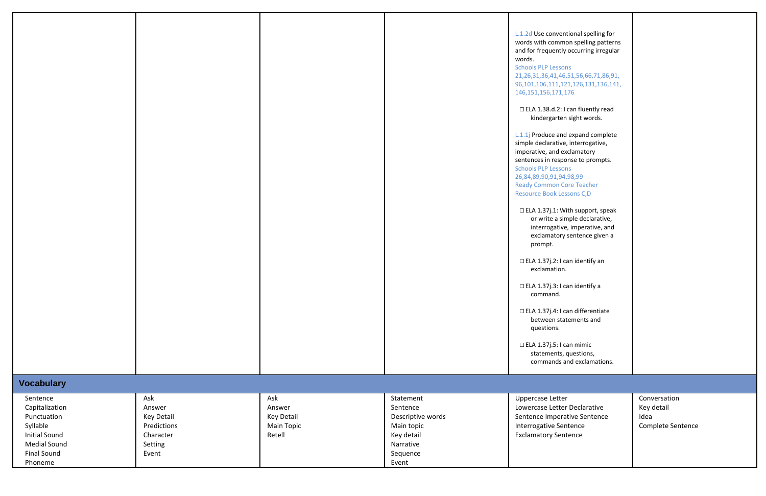| L.1.2d Use conventional spelling for<br>words with common spelling patterns<br>and for frequently occurring irregular<br>words.                                                                                                                                               |                                                         |
|-------------------------------------------------------------------------------------------------------------------------------------------------------------------------------------------------------------------------------------------------------------------------------|---------------------------------------------------------|
| <b>Schools PLP Lessons</b><br>21, 26, 31, 36, 41, 46, 51, 56, 66, 71, 86, 91,<br>96, 101, 106, 111, 121, 126, 131, 136, 141,<br>146, 151, 156, 171, 176                                                                                                                       |                                                         |
| $\Box$ ELA 1.38.d.2: I can fluently read<br>kindergarten sight words.                                                                                                                                                                                                         |                                                         |
| L.1.1j Produce and expand complete<br>simple declarative, interrogative,<br>imperative, and exclamatory<br>sentences in response to prompts.<br><b>Schools PLP Lessons</b><br>26,84,89,90,91,94,98,99<br><b>Ready Common Core Teacher</b><br><b>Resource Book Lessons C,D</b> |                                                         |
| $\Box$ ELA 1.37j.1: With support, speak<br>or write a simple declarative,<br>interrogative, imperative, and<br>exclamatory sentence given a<br>prompt.                                                                                                                        |                                                         |
| $\Box$ ELA 1.37j.2: I can identify an<br>exclamation.                                                                                                                                                                                                                         |                                                         |
| $\Box$ ELA 1.37j.3: I can identify a<br>command.                                                                                                                                                                                                                              |                                                         |
| $\Box$ ELA 1.37j.4: I can differentiate<br>between statements and<br>questions.                                                                                                                                                                                               |                                                         |
| $\Box$ ELA 1.37j.5: I can mimic<br>statements, questions,<br>commands and exclamations.                                                                                                                                                                                       |                                                         |
|                                                                                                                                                                                                                                                                               |                                                         |
| Uppercase Letter<br>Lowercase Letter Declarative<br>Sentence Imperative Sentence<br><b>Interrogative Sentence</b><br><b>Exclamatory Sentence</b>                                                                                                                              | Conversation<br>Key detail<br>Idea<br>Complete Sentence |
|                                                                                                                                                                                                                                                                               |                                                         |

|                                                                                                                                       |                                                                                    |                                                            |                                                                                                          | L.1.2d Use conventional spelling f<br>words with common spelling patt<br>and for frequently occurring irreg<br>words.<br><b>Schools PLP Lessons</b><br>21, 26, 31, 36, 41, 46, 51, 56, 66, 71, 86<br>96, 101, 106, 111, 121, 126, 131, 136,<br>146, 151, 156, 171, 176<br>□ ELA 1.38.d.2: I can fluently rea<br>kindergarten sight words.<br>L.1.1j Produce and expand comple<br>simple declarative, interrogative,<br>imperative, and exclamatory<br>sentences in response to prompts<br><b>Schools PLP Lessons</b><br>26,84,89,90,91,94,98,99<br><b>Ready Common Core Teacher</b><br>Resource Book Lessons C,D<br>□ ELA 1.37j.1: With support, spe<br>or write a simple declarative<br>interrogative, imperative, ar<br>exclamatory sentence given<br>prompt.<br>$\Box$ ELA 1.37j.2: I can identify an<br>exclamation.<br>$\Box$ ELA 1.37j.3: I can identify a<br>command.<br>□ ELA 1.37j.4: I can differentiate<br>between statements and<br>questions.<br>□ ELA 1.37j.5: I can mimic<br>statements, questions,<br>commands and exclamation |
|---------------------------------------------------------------------------------------------------------------------------------------|------------------------------------------------------------------------------------|------------------------------------------------------------|----------------------------------------------------------------------------------------------------------|------------------------------------------------------------------------------------------------------------------------------------------------------------------------------------------------------------------------------------------------------------------------------------------------------------------------------------------------------------------------------------------------------------------------------------------------------------------------------------------------------------------------------------------------------------------------------------------------------------------------------------------------------------------------------------------------------------------------------------------------------------------------------------------------------------------------------------------------------------------------------------------------------------------------------------------------------------------------------------------------------------------------------------------------|
| <b>Vocabulary</b>                                                                                                                     |                                                                                    |                                                            |                                                                                                          |                                                                                                                                                                                                                                                                                                                                                                                                                                                                                                                                                                                                                                                                                                                                                                                                                                                                                                                                                                                                                                                |
| Sentence<br>Capitalization<br>Punctuation<br>Syllable<br><b>Initial Sound</b><br><b>Medial Sound</b><br><b>Final Sound</b><br>Phoneme | Ask<br>Answer<br><b>Key Detail</b><br>Predictions<br>Character<br>Setting<br>Event | Ask<br>Answer<br>Key Detail<br><b>Main Topic</b><br>Retell | Statement<br>Sentence<br>Descriptive words<br>Main topic<br>Key detail<br>Narrative<br>Sequence<br>Event | <b>Uppercase Letter</b><br>Lowercase Letter Declarative<br>Sentence Imperative Sentence<br>Interrogative Sentence<br><b>Exclamatory Sentence</b>                                                                                                                                                                                                                                                                                                                                                                                                                                                                                                                                                                                                                                                                                                                                                                                                                                                                                               |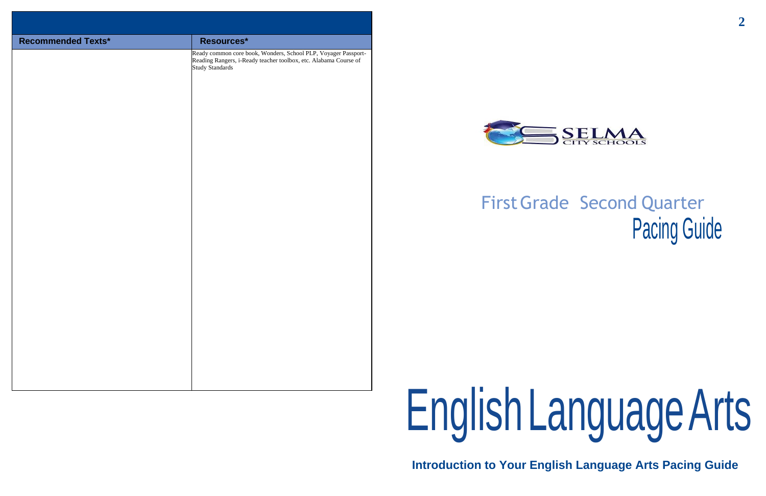# FirstGrade Second Quarter Pacing Guide

# EnglishLanguageArts



## **Introduction to Your English Language Arts Pacing Guide**

| <b>Recommended Texts*</b> | Resources*                                                                                                                                                   |
|---------------------------|--------------------------------------------------------------------------------------------------------------------------------------------------------------|
|                           | Ready common core book, Wonders, School PLP, Voyager Passport-<br>Reading Rangers, i-Ready teacher toolbox, etc. Alabama Course of<br><b>Study Standards</b> |
|                           |                                                                                                                                                              |
|                           |                                                                                                                                                              |
|                           |                                                                                                                                                              |
|                           |                                                                                                                                                              |
|                           |                                                                                                                                                              |
|                           |                                                                                                                                                              |
|                           |                                                                                                                                                              |
|                           |                                                                                                                                                              |

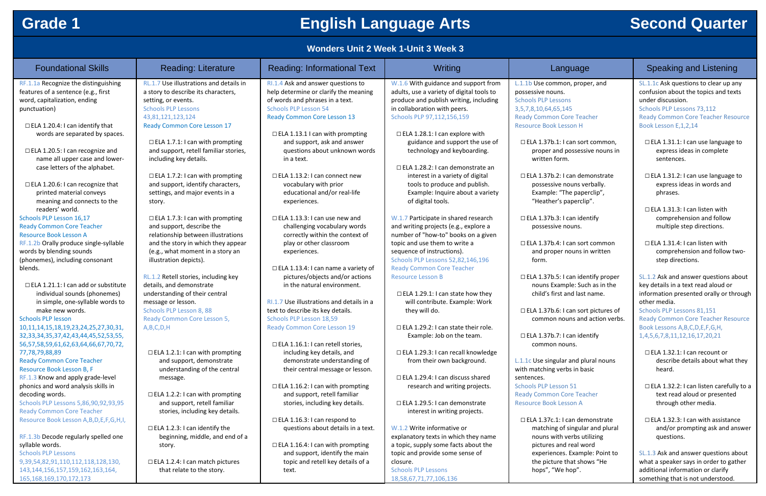## **Grade 1 English Language Arts Second Quarter**

## **Wonders Unit 2 Week 1-Unit 3 Week 3**

| <b>Foundational Skills</b>                             | <b>Reading: Literature</b>                        | <b>Reading: Informational Text</b>                              | Writing                                                                             | Lan                                               |
|--------------------------------------------------------|---------------------------------------------------|-----------------------------------------------------------------|-------------------------------------------------------------------------------------|---------------------------------------------------|
| RF.1.1a Recognize the distinguishing                   | RL.1.7 Use illustrations and details in           | RI.1.4 Ask and answer questions to                              | W.1.6 With guidance and support from                                                | L.1.1b Use commo                                  |
| features of a sentence (e.g., first                    | a story to describe its characters,               | help determine or clarify the meaning                           | adults, use a variety of digital tools to<br>produce and publish writing, including | possessive nouns.                                 |
| word, capitalization, ending                           | setting, or events.<br><b>Schools PLP Lessons</b> | of words and phrases in a text.<br><b>Schools PLP Lesson 54</b> | in collaboration with peers.                                                        | <b>Schools PLP Lesso</b><br>3,5,7,8,10,64,65,1    |
| punctuation)                                           | 43,81,121,123,124                                 | <b>Ready Common Core Lesson 13</b>                              | Schools PLP 97,112,156,159                                                          | <b>Ready Common C</b>                             |
| $\Box$ ELA 1.20.4: I can identify that                 | <b>Ready Common Core Lesson 17</b>                |                                                                 |                                                                                     | <b>Resource Book Le</b>                           |
| words are separated by spaces.                         |                                                   | $\Box$ ELA 1.13.1 I can with prompting                          | $\Box$ ELA 1.28.1: I can explore with                                               |                                                   |
|                                                        | $\Box$ ELA 1.7.1: I can with prompting            | and support, ask and answer                                     | guidance and support the use of                                                     | □ ELA 1.37b.1: I                                  |
| $\Box$ ELA 1.20.5: I can recognize and                 | and support, retell familiar stories,             | questions about unknown words                                   | technology and keyboarding.                                                         | proper and                                        |
| name all upper case and lower-                         | including key details.                            | in a text.                                                      |                                                                                     | written forn                                      |
| case letters of the alphabet.                          |                                                   |                                                                 | □ ELA 1.28.2: I can demonstrate an                                                  |                                                   |
|                                                        | $\Box$ ELA 1.7.2: I can with prompting            | $\Box$ ELA 1.13.2: I can connect new                            | interest in a variety of digital                                                    | □ ELA 1.37b.2: I                                  |
| $\Box$ ELA 1.20.6: I can recognize that                | and support, identify characters,                 | vocabulary with prior                                           | tools to produce and publish.                                                       | possessive r                                      |
| printed material conveys                               | settings, and major events in a                   | educational and/or real-life                                    | Example: Inquire about a variety                                                    | Example: "T                                       |
| meaning and connects to the<br>readers' world.         | story.                                            | experiences.                                                    | of digital tools.                                                                   | "Heather's I                                      |
| Schools PLP Lesson 16,17                               | $\Box$ ELA 1.7.3: I can with prompting            | $\Box$ ELA 1.13.3: I can use new and                            | W.1.7 Participate in shared research                                                | □ ELA 1.37b.3: I                                  |
| <b>Ready Common Core Teacher</b>                       | and support, describe the                         | challenging vocabulary words                                    | and writing projects (e.g., explore a                                               | possessive r                                      |
| <b>Resource Book Lesson A</b>                          | relationship between illustrations                | correctly within the context of                                 | number of "how-to" books on a given                                                 |                                                   |
| RF.1.2b Orally produce single-syllable                 | and the story in which they appear                | play or other classroom                                         | topic and use them to write a                                                       | □ ELA 1.37b.4: I                                  |
| words by blending sounds                               | (e.g., what moment in a story an                  | experiences.                                                    | sequence of instructions).                                                          | and proper                                        |
| (phonemes), including consonant                        | illustration depicts).                            |                                                                 | Schools PLP Lessons 52,82,146,196                                                   | form.                                             |
| blends.                                                |                                                   | □ ELA 1.13.4: I can name a variety of                           | <b>Ready Common Core Teacher</b>                                                    |                                                   |
|                                                        | RL.1.2 Retell stories, including key              | pictures/objects and/or actions                                 | <b>Resource Lesson B</b>                                                            | □ ELA 1.37b.5: I                                  |
| $\Box$ ELA 1.21.1: I can add or substitute             | details, and demonstrate                          | in the natural environment.                                     |                                                                                     | nouns Exam                                        |
| individual sounds (phonemes)                           | understanding of their central                    |                                                                 | $\Box$ ELA 1.29.1: I can state how they                                             | child's first                                     |
| in simple, one-syllable words to                       | message or lesson.                                | RI.1.7 Use illustrations and details in a                       | will contribute. Example: Work                                                      |                                                   |
| make new words.                                        | Schools PLP Lesson 8, 88                          | text to describe its key details.                               | they will do.                                                                       | □ ELA 1.37b.6: I                                  |
| <b>Schools PLP lesson</b>                              | Ready Common Core Lesson 5,                       | Schools PLP Lesson 18,59                                        |                                                                                     | common no                                         |
| 10,11,14,15,18,19,23,24,25,27,30,31,                   | A, B, C, D, H                                     | <b>Ready Common Core Lesson 19</b>                              | $\Box$ ELA 1.29.2: I can state their role.                                          |                                                   |
| 32, 33, 34, 35, 37, 42, 43, 44, 45, 52, 53, 55,        |                                                   |                                                                 | Example: Job on the team.                                                           | □ ELA 1.37b.7: I                                  |
| 56,57,58,59,61,62,63,64,66,67,70,72,                   |                                                   | $\Box$ ELA 1.16.1: I can retell stories,                        |                                                                                     | common no                                         |
| 77,78,79,88,89                                         | $\Box$ ELA 1.2.1: I can with prompting            | including key details, and                                      | □ ELA 1.29.3: I can recall knowledge                                                |                                                   |
| <b>Ready Common Core Teacher</b>                       | and support, demonstrate                          | demonstrate understanding of                                    | from their own background.                                                          | L.1.1c Use singula                                |
| Resource Book Lesson B, F                              | understanding of the central                      | their central message or lesson.                                |                                                                                     | with matching ver                                 |
| RF.1.3 Know and apply grade-level                      | message.                                          |                                                                 | $\Box$ ELA 1.29.4: I can discuss shared                                             | sentences.                                        |
| phonics and word analysis skills in<br>decoding words. | $\Box$ ELA 1.2.2: I can with prompting            | $\Box$ ELA 1.16.2: I can with prompting                         | research and writing projects.                                                      | <b>Schools PLP Lesso</b><br><b>Ready Common C</b> |
| Schools PLP Lessons 5,86,90,92,93,95                   | and support, retell familiar                      | and support, retell familiar<br>stories, including key details. | □ ELA 1.29.5: I can demonstrate                                                     | <b>Resource Book Le</b>                           |
| <b>Ready Common Core Teacher</b>                       | stories, including key details.                   |                                                                 | interest in writing projects.                                                       |                                                   |
| Resource Book Lesson A, B, D, E, F, G, H, I,           |                                                   | $\Box$ ELA 1.16.3: I can respond to                             |                                                                                     | $\Box$ ELA 1.37c.1: I                             |
|                                                        | $\Box$ ELA 1.2.3: I can identify the              | questions about details in a text.                              | W.1.2 Write informative or                                                          | matching of                                       |
| RF.1.3b Decode regularly spelled one                   | beginning, middle, and end of a                   |                                                                 | explanatory texts in which they name                                                | nouns with                                        |
| syllable words.                                        | story.                                            | $\Box$ ELA 1.16.4: I can with prompting                         | a topic, supply some facts about the                                                | pictures and                                      |
| <b>Schools PLP Lessons</b>                             |                                                   | and support, identify the main                                  | topic and provide some sense of                                                     | experiences                                       |
| 9, 39, 54, 82, 91, 110, 112, 118, 128, 130,            | $\Box$ ELA 1.2.4: I can match pictures            | topic and retell key details of a                               | closure.                                                                            | the picture                                       |
| 143, 144, 156, 157, 159, 162, 163, 164,                | that relate to the story.                         | text.                                                           | <b>Schools PLP Lessons</b>                                                          | hops", "We                                        |
| 165, 168, 169, 170, 172, 173                           |                                                   |                                                                 | 18,58,67,71,77,106,136                                                              |                                                   |

on, proper, and

 $\overline{\text{ons}}$ 145 Core Teacher **Reson H** 

I can sort common, possessive nouns in m.

I can demonstrate nouns verbally. The paperclip", paperclip".

can identify nouns.

I can sort common nouns in written

I can identify proper nple: Such as in the and last name.

I can sort pictures of buns and action verbs.

I can identify puns.

ar and plural nouns rbs in basic

 $\mathsf{on}\, \mathsf{51}$ Core Teacher **Soon A** 

can demonstrate f singular and plural verbs utilizing d real word s. Example: Point to that shows "He  $h$  hop".

## Inguage **Reading: Informational Text Writing: Informational Text Writing Archives**

□ ELA 1.31.4: I can listen with comprehension and follow twostep directions.

SL.1.1c Ask questions to clear up any confusion about the topics and texts under discussion. Schools PLP Lessons 73,112 Ready Common Core Teacher Resource Book Lesson E,1,2,14

☐ ELA 1.31.1: I can use language to express ideas in complete sentences.

☐ ELA 1.31.2: I can use language to express ideas in words and phrases.

☐ ELA 1.31.3: I can listen with comprehension and follow multiple step directions.

SL.1.2 Ask and answer questions about key details in a text read aloud or information presented orally or through other media.

Schools PLP Lessons 81,151 Ready Common Core Teacher Resource Book Lessons A,B,C,D,E,F,G,H, 1,4,5,6,7,8,11,12,16,17,20,21

☐ ELA 1.32.1: I can recount or describe details about what they heard.

☐ ELA 1.32.2: I can listen carefully to a text read aloud or presented through other media.

☐ ELA 1.32.3: I can with assistance and/or prompting ask and answer questions.

SL.1.3 Ask and answer questions about what a speaker says in order to gather additional information or clarify something that is not understood.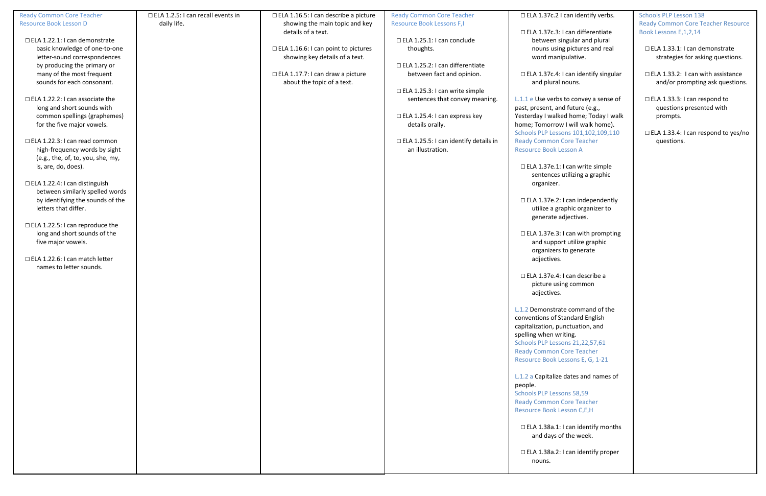| <b>Ready Common Core Teacher</b>       | $\Box$ ELA 1.2.5: I can recall events in | $\Box$ ELA 1.16.5: I can describe a picture | <b>Ready Common Core Teacher</b>             | □ ELA 1.37c.2 l c         |
|----------------------------------------|------------------------------------------|---------------------------------------------|----------------------------------------------|---------------------------|
| <b>Resource Book Lesson D</b>          | daily life.                              | showing the main topic and key              | <b>Resource Book Lessons F,I</b>             |                           |
|                                        |                                          | details of a text.                          |                                              | $\Box$ ELA 1.37c.3: I     |
| □ ELA 1.22.1: I can demonstrate        |                                          |                                             | $\Box$ ELA 1.25.1: I can conclude            | between sing              |
| basic knowledge of one-to-one          |                                          | □ ELA 1.16.6: I can point to pictures       | thoughts.                                    | nouns using               |
| letter-sound correspondences           |                                          | showing key details of a text.              |                                              | word manip                |
|                                        |                                          |                                             | □ ELA 1.25.2: I can differentiate            |                           |
| by producing the primary or            |                                          |                                             |                                              |                           |
| many of the most frequent              |                                          | $\Box$ ELA 1.17.7: I can draw a picture     | between fact and opinion.                    | □ ELA 1.37c.4: I          |
| sounds for each consonant.             |                                          | about the topic of a text.                  |                                              | and plural no             |
|                                        |                                          |                                             | $\Box$ ELA 1.25.3: I can write simple        |                           |
| □ ELA 1.22.2: I can associate the      |                                          |                                             | sentences that convey meaning.               | L.1.1 e Use verbs t       |
| long and short sounds with             |                                          |                                             |                                              | past, present, and        |
| common spellings (graphemes)           |                                          |                                             | $\Box$ ELA 1.25.4: I can express key         | Yesterday I walked        |
| for the five major vowels.             |                                          |                                             | details orally.                              | home; Tomorrow I          |
|                                        |                                          |                                             |                                              | <b>Schools PLP Lessor</b> |
| □ ELA 1.22.3: I can read common        |                                          |                                             | $\Box$ ELA 1.25.5: I can identify details in | <b>Ready Common Co</b>    |
| high-frequency words by sight          |                                          |                                             | an illustration.                             | <b>Resource Book Les</b>  |
|                                        |                                          |                                             |                                              |                           |
| (e.g., the, of, to, you, she, my,      |                                          |                                             |                                              |                           |
| is, are, do, does).                    |                                          |                                             |                                              | □ ELA 1.37e.1: I          |
|                                        |                                          |                                             |                                              | sentences ut              |
| $\Box$ ELA 1.22.4: I can distinguish   |                                          |                                             |                                              | organizer.                |
| between similarly spelled words        |                                          |                                             |                                              |                           |
| by identifying the sounds of the       |                                          |                                             |                                              | □ ELA 1.37e.2: I          |
| letters that differ.                   |                                          |                                             |                                              | utilize a grap            |
|                                        |                                          |                                             |                                              | generate adj              |
| $\Box$ ELA 1.22.5: I can reproduce the |                                          |                                             |                                              |                           |
| long and short sounds of the           |                                          |                                             |                                              | $\Box$ ELA 1.37e.3: I     |
|                                        |                                          |                                             |                                              |                           |
| five major vowels.                     |                                          |                                             |                                              | and support               |
|                                        |                                          |                                             |                                              | organizers to             |
| □ ELA 1.22.6: I can match letter       |                                          |                                             |                                              | adjectives.               |
| names to letter sounds.                |                                          |                                             |                                              |                           |
|                                        |                                          |                                             |                                              | □ ELA 1.37e.4: I          |
|                                        |                                          |                                             |                                              | picture using             |
|                                        |                                          |                                             |                                              | adjectives.               |
|                                        |                                          |                                             |                                              |                           |
|                                        |                                          |                                             |                                              | L.1.2 Demonstrate         |
|                                        |                                          |                                             |                                              | conventions of Sta        |
|                                        |                                          |                                             |                                              | capitalization, pun       |
|                                        |                                          |                                             |                                              |                           |
|                                        |                                          |                                             |                                              | spelling when writ        |
|                                        |                                          |                                             |                                              | <b>Schools PLP Lessor</b> |
|                                        |                                          |                                             |                                              | <b>Ready Common Co</b>    |
|                                        |                                          |                                             |                                              | <b>Resource Book Les</b>  |
|                                        |                                          |                                             |                                              |                           |
|                                        |                                          |                                             |                                              | L.1.2 a Capitalize d      |
|                                        |                                          |                                             |                                              | people.                   |
|                                        |                                          |                                             |                                              | <b>Schools PLP Lessor</b> |
|                                        |                                          |                                             |                                              | <b>Ready Common Co</b>    |
|                                        |                                          |                                             |                                              | <b>Resource Book Les</b>  |
|                                        |                                          |                                             |                                              |                           |
|                                        |                                          |                                             |                                              | □ ELA 1.38a.1: I          |
|                                        |                                          |                                             |                                              |                           |
|                                        |                                          |                                             |                                              | and days of t             |
|                                        |                                          |                                             |                                              |                           |
|                                        |                                          |                                             |                                              | □ ELA 1.38a.2:1           |
|                                        |                                          |                                             |                                              | nouns.                    |
|                                        |                                          |                                             |                                              |                           |

## can identify verbs.

can differentiate gular and plural pictures and real ulative.

can identify singular ouns.

o convey a sense of future (e.g., I home; Today I walk I will walk home). ns 101,102,109,110 ore Teacher sson A

can write simple tilizing a graphic

can independently phic organizer to jectives.

can with prompting : utilize graphic o generate

can describe a g common

e command of the andard English nctuation, and ting. ns 21,22,57,61 ore Teacher ssons E, G,  $1-21$ 

lates and names of

ns 58,59 ore Teacher sson C,E,H

can identify months the week.

can identify proper

Schools PLP Lesson 138 Ready Common Core Teacher Resource Book Lessons E,1,2,14

☐ ELA 1.33.1: I can demonstrate strategies for asking questions.

☐ ELA 1.33.2: I can with assistance and/or prompting ask questions.

☐ ELA 1.33.3: I can respond to questions presented with prompts.

☐ ELA 1.33.4: I can respond to yes/no questions.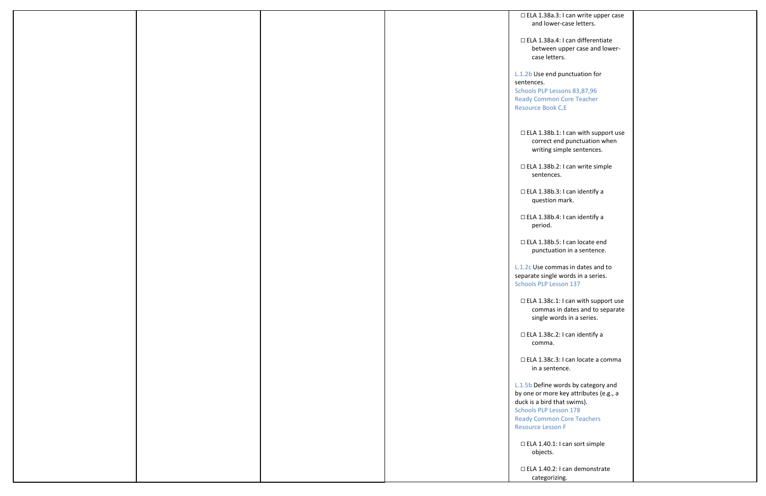|  |  | □ ELA 1.38a.3: I can write upper case      |  |
|--|--|--------------------------------------------|--|
|  |  | and lower-case letters.                    |  |
|  |  |                                            |  |
|  |  |                                            |  |
|  |  | □ ELA 1.38a.4: I can differentiate         |  |
|  |  | between upper case and lower-              |  |
|  |  | case letters.                              |  |
|  |  |                                            |  |
|  |  | L.1.2b Use end punctuation for             |  |
|  |  |                                            |  |
|  |  | sentences.                                 |  |
|  |  | Schools PLP Lessons 83,87,96               |  |
|  |  | <b>Ready Common Core Teacher</b>           |  |
|  |  | Resource Book C,E                          |  |
|  |  |                                            |  |
|  |  |                                            |  |
|  |  |                                            |  |
|  |  | $\Box$ ELA 1.38b.1: I can with support use |  |
|  |  | correct end punctuation when               |  |
|  |  | writing simple sentences.                  |  |
|  |  |                                            |  |
|  |  |                                            |  |
|  |  | □ ELA 1.38b.2: I can write simple          |  |
|  |  | sentences.                                 |  |
|  |  |                                            |  |
|  |  | □ ELA 1.38b.3: I can identify a            |  |
|  |  |                                            |  |
|  |  | question mark.                             |  |
|  |  |                                            |  |
|  |  | □ ELA 1.38b.4: I can identify a            |  |
|  |  | period.                                    |  |
|  |  |                                            |  |
|  |  |                                            |  |
|  |  | □ ELA 1.38b.5: I can locate end            |  |
|  |  | punctuation in a sentence.                 |  |
|  |  |                                            |  |
|  |  | L.1.2c Use commas in dates and to          |  |
|  |  | separate single words in a series.         |  |
|  |  |                                            |  |
|  |  | <b>Schools PLP Lesson 137</b>              |  |
|  |  |                                            |  |
|  |  | $\Box$ ELA 1.38c.1: I can with support use |  |
|  |  | commas in dates and to separate            |  |
|  |  | single words in a series.                  |  |
|  |  |                                            |  |
|  |  |                                            |  |
|  |  | □ ELA 1.38c.2: I can identify a            |  |
|  |  | comma.                                     |  |
|  |  |                                            |  |
|  |  | □ ELA 1.38c.3: I can locate a comma        |  |
|  |  | in a sentence.                             |  |
|  |  |                                            |  |
|  |  |                                            |  |
|  |  | L.1.5b Define words by category and        |  |
|  |  | by one or more key attributes (e.g., a     |  |
|  |  | duck is a bird that swims).                |  |
|  |  | <b>Schools PLP Lesson 178</b>              |  |
|  |  |                                            |  |
|  |  | <b>Ready Common Core Teachers</b>          |  |
|  |  | <b>Resource Lesson F</b>                   |  |
|  |  |                                            |  |
|  |  | $\Box$ ELA 1.40.1: I can sort simple       |  |
|  |  |                                            |  |
|  |  | objects.                                   |  |
|  |  |                                            |  |
|  |  | □ ELA 1.40.2: I can demonstrate            |  |
|  |  | categorizing.                              |  |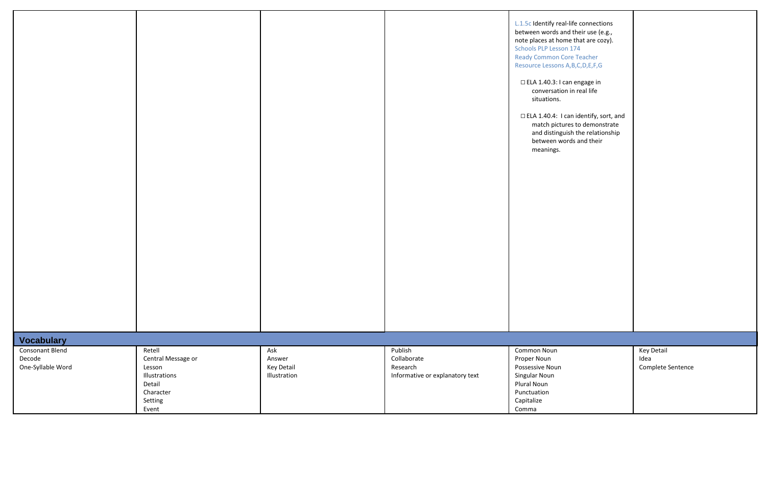| L.1.5c Identify real-life connections<br>between words and their use (e.g.,<br>note places at home that are cozy).<br><b>Schools PLP Lesson 174</b><br><b>Ready Common Core Teacher</b><br>Resource Lessons A, B, C, D, E, F, G<br>□ ELA 1.40.3: I can engage in<br>conversation in real life<br>situations.<br>□ ELA 1.40.4: I can identify, sort, and<br>match pictures to demonstrate<br>and distinguish the relationship<br>between words and their<br>meanings. |                                                |
|----------------------------------------------------------------------------------------------------------------------------------------------------------------------------------------------------------------------------------------------------------------------------------------------------------------------------------------------------------------------------------------------------------------------------------------------------------------------|------------------------------------------------|
|                                                                                                                                                                                                                                                                                                                                                                                                                                                                      |                                                |
| Common Noun<br>Proper Noun<br>Possessive Noun<br>Singular Noun<br><b>Plural Noun</b><br>Punctuation<br>Capitalize<br>Comma                                                                                                                                                                                                                                                                                                                                           | <b>Key Detail</b><br>Idea<br>Complete Sentence |

|                                  |                              |                      |                                 | L.1.5c Identify real-life connect<br>between words and their use (<br>note places at home that are co<br>Schools PLP Lesson 174<br><b>Ready Common Core Teacher</b><br>Resource Lessons A, B, C, D, E, F, G<br>$\Box$ ELA 1.40.3: I can engage in<br>conversation in real life<br>situations.<br>□ ELA 1.40.4: I can identify, s<br>match pictures to demon<br>and distinguish the relati<br>between words and their<br>meanings. |
|----------------------------------|------------------------------|----------------------|---------------------------------|-----------------------------------------------------------------------------------------------------------------------------------------------------------------------------------------------------------------------------------------------------------------------------------------------------------------------------------------------------------------------------------------------------------------------------------|
| <b>Vocabulary</b>                |                              |                      |                                 |                                                                                                                                                                                                                                                                                                                                                                                                                                   |
| <b>Consonant Blend</b><br>Decode | Retell                       | Ask                  | Publish<br>Collaborate          | Common Noun                                                                                                                                                                                                                                                                                                                                                                                                                       |
| One-Syllable Word                | Central Message or<br>Lesson | Answer<br>Key Detail | Research                        | Proper Noun<br>Possessive Noun                                                                                                                                                                                                                                                                                                                                                                                                    |
|                                  | Illustrations                | Illustration         | Informative or explanatory text | Singular Noun                                                                                                                                                                                                                                                                                                                                                                                                                     |
|                                  | Detail                       |                      |                                 | Plural Noun                                                                                                                                                                                                                                                                                                                                                                                                                       |
|                                  | Character                    |                      |                                 | Punctuation                                                                                                                                                                                                                                                                                                                                                                                                                       |
|                                  | Setting                      |                      |                                 | Capitalize                                                                                                                                                                                                                                                                                                                                                                                                                        |
|                                  |                              |                      |                                 |                                                                                                                                                                                                                                                                                                                                                                                                                                   |
|                                  | Event                        |                      |                                 | Comma                                                                                                                                                                                                                                                                                                                                                                                                                             |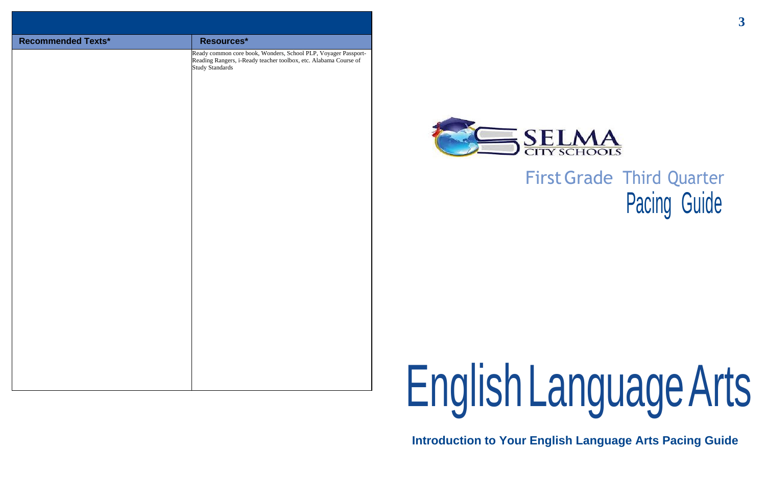# FirstGrade Third Quarter Pacing Guide

# EnglishLanguageArts

**Introduction to Your English Language Arts Pacing Guide**



| <b>Recommended Texts*</b> | Resources*                                                                                                                                                   |         |
|---------------------------|--------------------------------------------------------------------------------------------------------------------------------------------------------------|---------|
|                           | Ready common core book, Wonders, School PLP, Voyager Passport-<br>Reading Rangers, i-Ready teacher toolbox, etc. Alabama Course of<br><b>Study Standards</b> |         |
|                           |                                                                                                                                                              | English |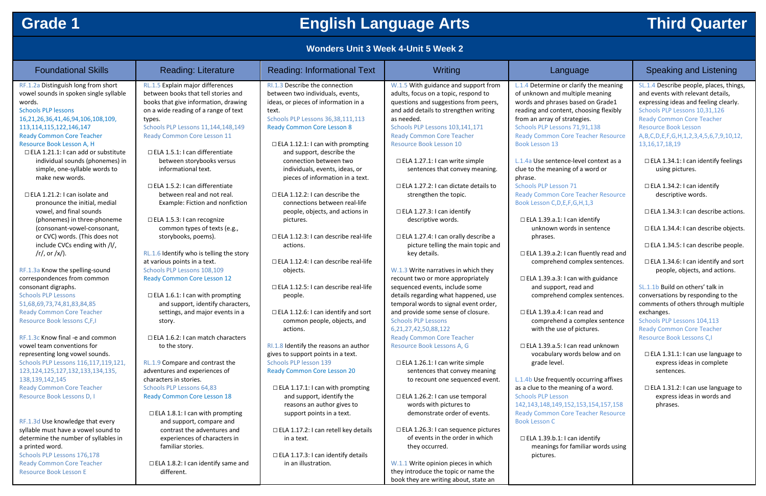## **Grade 1 English Language Arts Third Quarter**

## **Wonders Unit 3 Week 4-Unit 5 Week 2**

| <b>Foundational Skills</b>                 | <b>Reading: Literature</b>                | <b>Reading: Informational Text</b>          | Writing                                     | Lan                      |
|--------------------------------------------|-------------------------------------------|---------------------------------------------|---------------------------------------------|--------------------------|
| RF.1.2a Distinguish long from short        | RL.1.5 Explain major differences          | RI.1.3 Describe the connection              | W.1.5 With guidance and support from        | L.1.4 Determine o        |
| vowel sounds in spoken single syllable     | between books that tell stories and       | between two individuals, events,            | adults, focus on a topic, respond to        | of unknown and r         |
| words.                                     | books that give information, drawing      | ideas, or pieces of information in a        | questions and suggestions from peers,       | words and phrase         |
| <b>Schools PLP lessons</b>                 | on a wide reading of a range of text      | text.                                       | and add details to strengthen writing       | reading and cont         |
| 16,21,26,36,41,46,94,106,108,109,          | types.                                    | Schools PLP Lessons 36,38,111,113           | as needed.                                  | from an array of s       |
| 113, 114, 115, 122, 146, 147               | Schools PLP Lessons 11, 144, 148, 149     | <b>Ready Common Core Lesson 8</b>           | Schools PLP Lessons 103,141,171             | <b>Schools PLP Lesso</b> |
| <b>Ready Common Core Teacher</b>           | <b>Ready Common Core Lesson 11</b>        |                                             | <b>Ready Common Core Teacher</b>            | <b>Ready Common C</b>    |
| Resource Book Lesson A, H                  |                                           | $\Box$ ELA 1.12.1: I can with prompting     | <b>Resource Book Lesson 10</b>              | <b>Book Lesson 13</b>    |
| $\Box$ ELA 1.21.1: I can add or substitute | $\Box$ ELA 1.5.1: I can differentiate     | and support, describe the                   |                                             |                          |
| individual sounds (phonemes) in            | between storybooks versus                 | connection between two                      | $\Box$ ELA 1.27.1: I can write simple       | L.1.4a Use senten        |
| simple, one-syllable words to              | informational text.                       | individuals, events, ideas, or              | sentences that convey meaning.              | clue to the meani        |
| make new words.                            |                                           | pieces of information in a text.            |                                             | phrase.                  |
|                                            | $\Box$ ELA 1.5.2: I can differentiate     |                                             | $\Box$ ELA 1.27.2: I can dictate details to | <b>Schools PLP Lesso</b> |
| $\Box$ ELA 1.21.2: I can isolate and       | between real and not real.                | $\Box$ ELA 1.12.2: I can describe the       | strengthen the topic.                       | <b>Ready Common C</b>    |
| pronounce the initial, medial              | Example: Fiction and nonfiction           | connections between real-life               |                                             | Book Lesson C,D,         |
| vowel, and final sounds                    |                                           | people, objects, and actions in             | $\Box$ ELA 1.27.3: I can identify           |                          |
| (phonemes) in three-phoneme                | □ ELA 1.5.3: I can recognize              | pictures.                                   | descriptive words.                          | $\Box$ ELA 1.39.a.1:     |
| (consonant-vowel-consonant,                | common types of texts (e.g.,              |                                             |                                             | unknown w                |
| or CVC) words. (This does not              | storybooks, poems).                       | $\Box$ ELA 1.12.3: I can describe real-life | □ ELA 1.27.4: I can orally describe a       | phrases.                 |
| include CVCs ending with /l/,              |                                           | actions.                                    | picture telling the main topic and          |                          |
| $\frac{r}{r}$ or $\frac{x}{r}$ .           | RL.1.6 Identify who is telling the story  |                                             | key details.                                | □ ELA 1.39.a.2:          |
|                                            | at various points in a text.              | $\Box$ ELA 1.12.4: I can describe real-life |                                             | comprehen                |
| RF.1.3a Know the spelling-sound            | Schools PLP Lessons 108,109               | objects.                                    | W.1.3 Write narratives in which they        |                          |
| correspondences from common                | <b>Ready Common Core Lesson 12</b>        |                                             | recount two or more appropriately           | □ ELA 1.39.a.3:          |
| consonant digraphs.                        |                                           | □ ELA 1.12.5: I can describe real-life      | sequenced events, include some              | and suppor               |
| <b>Schools PLP Lessons</b>                 | $\Box$ ELA 1.6.1: I can with prompting    | people.                                     | details regarding what happened, use        | comprehen                |
| 51,68,69,73,74,81,83,84,85                 | and support, identify characters,         |                                             | temporal words to signal event order,       |                          |
| <b>Ready Common Core Teacher</b>           | settings, and major events in a           | $\Box$ ELA 1.12.6: I can identify and sort  | and provide some sense of closure.          | □ ELA 1.39.a.4:          |
| Resource Book lessons C,F,I                | story.                                    | common people, objects, and                 | <b>Schools PLP Lessons</b>                  | comprehen                |
|                                            |                                           | actions.                                    | 6,21,27,42,50,88,122                        | with the us              |
| RF.1.3c Know final -e and common           | $\Box$ ELA 1.6.2: I can match characters  |                                             | <b>Ready Common Core Teacher</b>            |                          |
| vowel team conventions for                 | to the story.                             | RI.1.8 Identify the reasons an author       | Resource Book Lessons A, G                  | □ ELA 1.39.a.5:          |
| representing long vowel sounds.            |                                           | gives to support points in a text.          |                                             | vocabulary               |
| Schools PLP Lessons 116,117,119,121,       | RL.1.9 Compare and contrast the           | Schools PLP lesson 139                      | $\Box$ ELA 1.26.1: I can write simple       | grade level.             |
| 123, 124, 125, 127, 132, 133, 134, 135,    | adventures and experiences of             | <b>Ready Common Core Lesson 20</b>          | sentences that convey meaning               |                          |
| 138, 139, 142, 145                         | characters in stories.                    |                                             | to recount one sequenced event.             | L.1.4b Use freque        |
| <b>Ready Common Core Teacher</b>           | Schools PLP Lessons 64,83                 | $\Box$ ELA 1.17.1: I can with prompting     |                                             | as a clue to the m       |
| Resource Book Lessons D, I                 | <b>Ready Common Core Lesson 18</b>        | and support, identify the                   | □ ELA 1.26.2: I can use temporal            | <b>Schools PLP Lesso</b> |
|                                            |                                           | reasons an author gives to                  | words with pictures to                      | 142, 143, 148, 149,      |
|                                            | $\Box$ ELA 1.8.1: I can with prompting    | support points in a text.                   | demonstrate order of events.                | <b>Ready Common C</b>    |
| RF.1.3d Use knowledge that every           | and support, compare and                  |                                             |                                             | <b>Book Lesson C</b>     |
| syllable must have a vowel sound to        | contrast the adventures and               | $\Box$ ELA 1.17.2: I can retell key details | □ ELA 1.26.3: I can sequence pictures       |                          |
| determine the number of syllables in       | experiences of characters in              | in a text.                                  | of events in the order in which             | □ ELA 1.39.b.1:          |
| a printed word.                            | familiar stories.                         |                                             | they occurred.                              | meanings fo              |
| Schools PLP Lessons 176,178                |                                           | $\Box$ ELA 1.17.3: I can identify details   |                                             | pictures.                |
| <b>Ready Common Core Teacher</b>           | $\Box$ ELA 1.8.2: I can identify same and | in an illustration.                         | W.1.1 Write opinion pieces in which         |                          |
| <b>Resource Book Lesson E</b>              | different.                                |                                             | they introduce the topic or name the        |                          |

or clarify the meaning multiple meaning es based on Grade1 tent, choosing flexibly strategies. ons 71,91,138

**Core Teacher Resource** 

nce-level context as a ing of a word or

on  $71$ **Core Teacher Resource** ,E,F,G,H,1,3

I can identify: vords in sentence

: I can fluently read and nd complex sentences.

I can with guidance rt, read and nd complex sentences.

: I can read and nd a complex sentence se of pictures.

: I can read unknown words below and on

ently occurring affixes neaning of a word. on 142,143,148,149,152,153,154,157,158 Core Teacher Resource

: I can identify for familiar words using

## Inguage **Reading: Informational Text Writing: Informational Text Writing Archives**

book they are writing about, state an

SL.1.4 Describe people, places, things, and events with relevant details, expressing ideas and feeling clearly. Schools PLP Lessons 10,31,126 Ready Common Core Teacher Resource Book Lesson A,B,C,D,E,F,G,H,1,2,3,4,5,6,7,9,10,12, 13,16,17,18,19

☐ ELA 1.34.1: I can identify feelings using pictures.

☐ ELA 1.34.2: I can identify descriptive words.

☐ ELA 1.34.3: I can describe actions.

- ☐ ELA 1.34.4: I can describe objects.
- ☐ ELA 1.34.5: I can describe people.

☐ ELA 1.34.6: I can identify and sort people, objects, and actions.

SL.1.1b Build on others' talk in conversations by responding to the comments of others through multiple exchanges.

Schools PLP Lessons 104,113 Ready Common Core Teacher Resource Book Lessons C,I

☐ ELA 1.31.1: I can use language to express ideas in complete sentences.

☐ ELA 1.31.2: I can use language to express ideas in words and phrases.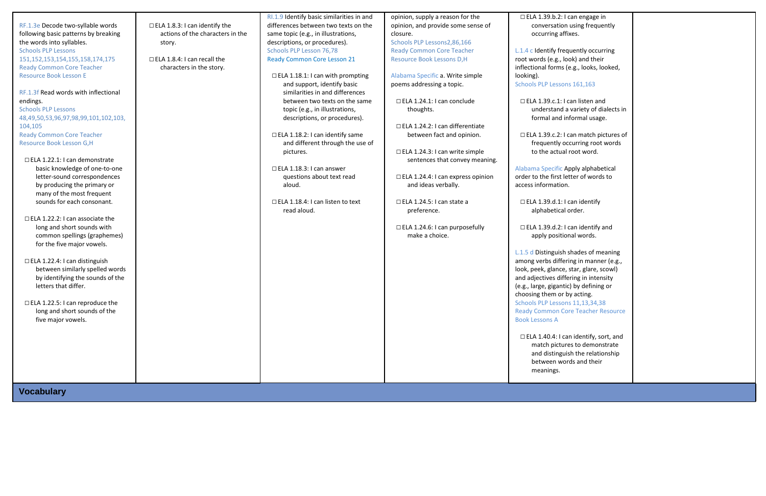RF.1.3e Decode two-syllable words following basic patterns by breaking the words into syllables. Schools PLP Lessons 151,152,153,154,155,158,174,175 Ready Common Core Teacher Resource Book Lesson E

RF.1.3f Read words with inflectional endings. Schools PLP Lessons 48,49,50,53,96,97,98,99,101,102,103, 104,105 Ready Common Core Teacher Resource Book Lesson G,H

- ☐ ELA 1.22.1: I can demonstrate basic knowledge of one-to-one letter-sound correspondences by producing the primary or many of the most frequent sounds for each consonant.
- ☐ ELA 1.22.2: I can associate the long and short sounds with common spellings (graphemes) for the five major vowels.
- ☐ ELA 1.22.4: I can distinguish between similarly spelled words by identifying the sounds of the letters that differ.
- ☐ ELA 1.22.5: I can reproduce the long and short sounds of the five major vowels.

☐ ELA 1.8.3: I can identify the actions of the characters in the story.

☐ ELA 1.8.4: I can recall the characters in the story.

RI.1.9 Identify basic similarities in and differences between two texts on the same topic (e.g., in illustrations, descriptions, or procedures). Schools PLP Lesson 76,78 Ready Common Core Lesson 21

- ☐ ELA 1.18.1: I can with prompting and support, identify basic similarities in and differences between two texts on the same topic (e.g., in illustrations, descriptions, or procedures).
- ☐ ELA 1.18.2: I can identify same and different through the use of pictures.
- ☐ ELA 1.18.3: I can answer questions about text read aloud.
- □ ELA 1.18.4: I can listen to text read aloud.

```
\Box ELA 1.40.4: I
match pictu
and disting
between w
meanings.
```
opinion, supply a reason for the opinion, and provide some sense of closure. Schools PLP Lessons2,86,166 Ready Common Core Teacher

Resource Book Lessons D,H

Alabama Specific a. Write simple poems addressing a topic.

☐ ELA 1.24.1: I can conclude thoughts.

☐ ELA 1.24.2: I can differentiate between fact and opinion.

☐ ELA 1.24.3: I can write simple sentences that convey meaning.

☐ ELA 1.24.4: I can express opinion and ideas verbally.

☐ ELA 1.24.5: I can state a preference.

☐ ELA 1.24.6: I can purposefully make a choice.

| $\Box$ ELA 1.39.b.2: I can engage in<br>conversation using frequently                                                                                                                                                                                                                                                                                 |  |
|-------------------------------------------------------------------------------------------------------------------------------------------------------------------------------------------------------------------------------------------------------------------------------------------------------------------------------------------------------|--|
| occurring affixes.                                                                                                                                                                                                                                                                                                                                    |  |
| L.1.4 c Identify frequently occurring<br>root words (e.g., look) and their<br>inflectional forms (e.g., looks, looked,<br>looking).                                                                                                                                                                                                                   |  |
| Schools PLP Lessons 161,163                                                                                                                                                                                                                                                                                                                           |  |
| $\Box$ ELA 1.39.c.1: I can listen and<br>understand a variety of dialects in<br>formal and informal usage.                                                                                                                                                                                                                                            |  |
| $\Box$ ELA 1.39.c.2: I can match pictures of<br>frequently occurring root words<br>to the actual root word.                                                                                                                                                                                                                                           |  |
| Alabama Specific Apply alphabetical<br>order to the first letter of words to<br>access information.                                                                                                                                                                                                                                                   |  |
| $\Box$ ELA 1.39.d.1: I can identify<br>alphabetical order.                                                                                                                                                                                                                                                                                            |  |
| $\Box$ ELA 1.39.d.2: I can identify and<br>apply positional words.                                                                                                                                                                                                                                                                                    |  |
| L.1.5 d Distinguish shades of meaning<br>among verbs differing in manner (e.g.,<br>look, peek, glance, star, glare, scowl)<br>and adjectives differing in intensity<br>(e.g., large, gigantic) by defining or<br>choosing them or by acting.<br>Schools PLP Lessons 11,13,34,38<br><b>Ready Common Core Teacher Resource</b><br><b>Book Lessons A</b> |  |
| $\Box$ ELA 1.40.4: I can identify, sort, and<br>match pictures to demonstrate<br>and distinguish the relationship<br>between words and their<br>meanings.                                                                                                                                                                                             |  |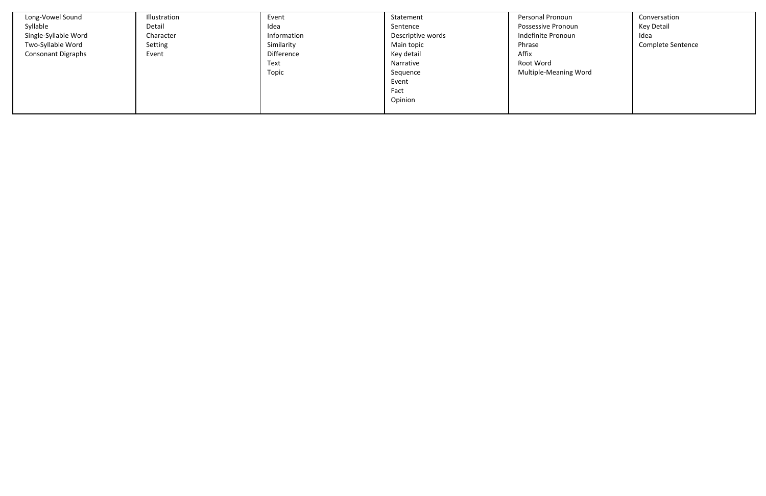| Long-Vowel Sound<br>Syllable<br>Single-Syllable Word<br>Two-Syllable Word<br><b>Consonant Digraphs</b> | Illustration<br>Detail<br>Character<br>Setting<br>Event | Event<br>Idea<br>Information<br>Similarity<br>Difference<br>Text<br>Topic | Statement<br>Sentence<br>Descriptive words<br>Main topic<br>Key detail<br>Narrative<br>Sequence<br>Event<br>Fact<br>Opinion | Personal Pronoun<br><b>Possessive Pronoun</b><br>Indefinite Pronoun<br>Phrase<br>Affix<br>Root Word<br>Multiple-Meaning Word | Conversation<br>Key Detail<br>Idea<br>Complete Sentence |
|--------------------------------------------------------------------------------------------------------|---------------------------------------------------------|---------------------------------------------------------------------------|-----------------------------------------------------------------------------------------------------------------------------|------------------------------------------------------------------------------------------------------------------------------|---------------------------------------------------------|
|--------------------------------------------------------------------------------------------------------|---------------------------------------------------------|---------------------------------------------------------------------------|-----------------------------------------------------------------------------------------------------------------------------|------------------------------------------------------------------------------------------------------------------------------|---------------------------------------------------------|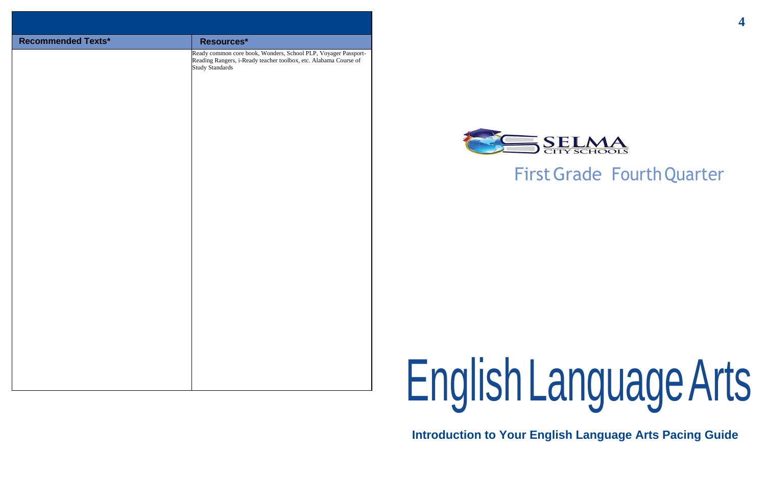**4**

# FirstGrade FourthQuarter

# EnglishLanguageArts

**Introduction to Your English Language Arts Pacing Guide**



| Ready common core book, Wonders, School PLP, Voyager Passport-<br>Reading Rangers, i-Ready teacher toolbox, etc. Alabama Course of<br><b>Study Standards</b> |
|--------------------------------------------------------------------------------------------------------------------------------------------------------------|
|                                                                                                                                                              |
|                                                                                                                                                              |

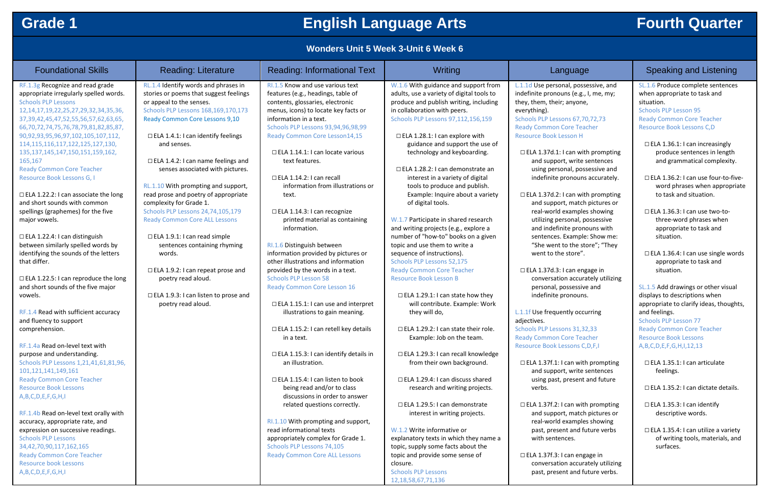## **Grade 1 English Language Arts Fourth Quarter**

## **Wonders Unit 5 Week 3-Unit 6 Week 6**

| <b>Foundational Skills</b>                                                  | <b>Reading: Literature</b>                                                | <b>Reading: Informational Text</b>                              | Writing                                    | Lar                          |
|-----------------------------------------------------------------------------|---------------------------------------------------------------------------|-----------------------------------------------------------------|--------------------------------------------|------------------------------|
| RF.1.3g Recognize and read grade                                            | RL.1.4 Identify words and phrases in                                      | RI.1.5 Know and use various text                                | W.1.6 With guidance and support from       | L.1.1d Use persor            |
| appropriate irregularly spelled words.                                      | stories or poems that suggest feelings                                    | features (e.g., headings, table of                              | adults, use a variety of digital tools to  | indefinite pronou            |
| <b>Schools PLP Lessons</b>                                                  | or appeal to the senses.                                                  | contents, glossaries, electronic                                | produce and publish writing, including     | they, them, their            |
| 12, 14, 17, 19, 22, 25, 27, 29, 32, 34, 35, 36,                             | Schools PLP Lessons 168,169,170,173                                       | menus, icons) to locate key facts or                            | in collaboration with peers.               | everything).                 |
| 37, 39, 42, 45, 47, 52, 55, 56, 57, 62, 63, 65,                             | Ready Common Core Lessons 9,10                                            | information in a text.                                          | Schools PLP Lessons 97,112,156,159         | <b>Schools PLP Lesso</b>     |
| 66,70,72,74,75,76,78,79,81,82,85,87,                                        |                                                                           | Schools PLP Lessons 93,94,96,98,99                              |                                            | <b>Ready Common (</b>        |
| 90,92,93,95,96,97,102,105,107,112,                                          | $\Box$ ELA 1.4.1: I can identify feelings                                 | Ready Common Core Lesson14,15                                   | □ ELA 1.28.1: I can explore with           | <b>Resource Book Le</b>      |
| 114, 115, 116, 117, 122, 125, 127, 130,                                     | and senses.                                                               |                                                                 | guidance and support the use of            |                              |
| 135, 137, 145, 147, 150, 151, 159, 162,                                     |                                                                           | $\Box$ ELA 1.14.1: I can locate various                         | technology and keyboarding.                | $\Box$ ELA 1.37d.1:          |
| 165,167                                                                     | $\Box$ ELA 1.4.2: I can name feelings and                                 | text features.                                                  |                                            | and suppor                   |
| <b>Ready Common Core Teacher</b>                                            | senses associated with pictures.                                          |                                                                 | $\Box$ ELA 1.28.2: I can demonstrate an    | using perso                  |
| Resource Book Lessons G, I                                                  |                                                                           | $\Box$ ELA 1.14.2: I can recall                                 | interest in a variety of digital           | indefinite p                 |
|                                                                             | RL.1.10 With prompting and support,                                       | information from illustrations or                               | tools to produce and publish.              |                              |
| $\Box$ ELA 1.22.2: I can associate the long<br>and short sounds with common | read prose and poetry of appropriate                                      | text.                                                           | Example: Inquire about a variety           | □ ELA 1.37d.2:               |
|                                                                             | complexity for Grade 1.                                                   |                                                                 | of digital tools.                          | and suppor<br>real-world     |
| spellings (graphemes) for the five                                          | Schools PLP Lessons 24,74,105,179<br><b>Ready Common Core ALL Lessons</b> | □ ELA 1.14.3: I can recognize<br>printed material as containing | W.1.7 Participate in shared research       |                              |
| major vowels.                                                               |                                                                           | information.                                                    | and writing projects (e.g., explore a      | utilizing per<br>and indefin |
| $\Box$ ELA 1.22.4: I can distinguish                                        | $\Box$ ELA 1.9.1: I can read simple                                       |                                                                 | number of "how-to" books on a given        | sentences.                   |
| between similarly spelled words by                                          | sentences containing rhyming                                              | RI.1.6 Distinguish between                                      | topic and use them to write a              | "She went                    |
| identifying the sounds of the letters                                       | words.                                                                    | information provided by pictures or                             | sequence of instructions).                 | went to the                  |
| that differ.                                                                |                                                                           | other illustrations and information                             | Schools PLP Lessons 52,175                 |                              |
|                                                                             | $\Box$ ELA 1.9.2: I can repeat prose and                                  | provided by the words in a text.                                | <b>Ready Common Core Teacher</b>           | $\Box$ ELA 1.37d.3:          |
| $\Box$ ELA 1.22.5: I can reproduce the long                                 | poetry read aloud.                                                        | <b>Schools PLP Lesson 58</b>                                    | <b>Resource Book Lesson B</b>              | conversatio                  |
| and short sounds of the five major                                          |                                                                           | <b>Ready Common Core Lesson 16</b>                              |                                            | personal, p                  |
| vowels.                                                                     | $\Box$ ELA 1.9.3: I can listen to prose and                               |                                                                 | $\Box$ ELA 1.29.1: I can state how they    | indefinite p                 |
|                                                                             | poetry read aloud.                                                        | □ ELA 1.15.1: I can use and interpret                           | will contribute. Example: Work             |                              |
| RF.1.4 Read with sufficient accuracy                                        |                                                                           | illustrations to gain meaning.                                  | they will do,                              | L.1.1f Use freque            |
| and fluency to support                                                      |                                                                           |                                                                 |                                            | adjectives.                  |
| comprehension.                                                              |                                                                           | □ ELA 1.15.2: I can retell key details                          | $\Box$ ELA 1.29.2: I can state their role. | <b>Schools PLP Lesso</b>     |
|                                                                             |                                                                           | in a text.                                                      | Example: Job on the team.                  | <b>Ready Common (</b>        |
| RF.1.4a Read on-level text with                                             |                                                                           |                                                                 |                                            | <b>Resource Book Le</b>      |
| purpose and understanding.                                                  |                                                                           | $\Box$ ELA 1.15.3: I can identify details in                    | □ ELA 1.29.3: I can recall knowledge       |                              |
| Schools PLP Lessons 1,21,41,61,81,96,                                       |                                                                           | an illustration.                                                | from their own background.                 | □ ELA 1.37f.1: I             |
| 101, 121, 141, 149, 161                                                     |                                                                           |                                                                 |                                            | and suppor                   |
| <b>Ready Common Core Teacher</b>                                            |                                                                           | $\Box$ ELA 1.15.4: I can listen to book                         | $\Box$ ELA 1.29.4: I can discuss shared    | using past,                  |
| <b>Resource Book Lessons</b>                                                |                                                                           | being read and/or to class                                      | research and writing projects.             | verbs.                       |
| A,B,C,D,E,F,G,H,I                                                           |                                                                           | discussions in order to answer                                  |                                            |                              |
|                                                                             |                                                                           | related questions correctly.                                    | □ ELA 1.29.5: I can demonstrate            | □ ELA 1.37f.2: I             |
| RF.1.4b Read on-level text orally with                                      |                                                                           |                                                                 | interest in writing projects.              | and suppor                   |
| accuracy, appropriate rate, and                                             |                                                                           | RI.1.10 With prompting and support,                             |                                            | real-world                   |
| expression on successive readings.                                          |                                                                           | read informational texts                                        | W.1.2 Write informative or                 | past, prese                  |
| <b>Schools PLP Lessons</b>                                                  |                                                                           | appropriately complex for Grade 1.                              | explanatory texts in which they name a     | with senter                  |
| 34, 42, 70, 90, 117, 162, 165                                               |                                                                           | Schools PLP Lessons 74,105                                      | topic, supply some facts about the         |                              |
| <b>Ready Common Core Teacher</b>                                            |                                                                           | <b>Ready Common Core ALL Lessons</b>                            | topic and provide some sense of            | $\Box$ ELA 1.37f.3: I        |
| <b>Resource book Lessons</b>                                                |                                                                           |                                                                 | closure.                                   | conversatio                  |
| A,B,C,D,E,F,G,H,I                                                           |                                                                           |                                                                 | <b>Schools PLP Lessons</b>                 | past, prese                  |

nal, possessive, and ins (e.g., I, me, my; ; anyone,

ons 67,70,72,73 Core Teacher esson H

I can with prompting rt, write sentences onal, possessive and pronouns accurately.

I can with prompting rt, match pictures or examples showing rsonal, possessive nite pronouns with Example: Show me: to the store"; "They store".

I can engage in on accurately utilizing possessive and pronouns.

ently occurring

ons 31,32,33 Core Teacher essons C,D,F,I

can with prompting rt, write sentences present and future

can with prompting rt, match pictures or examples showing ent and future verbs nces.

can engage in on accurately utilizing past, present and future verbs.

## Inguage **Reading: Informational Text Writing: Informational Text Writing Archives**

12,18,58,67,71,136

SL.1.6 Produce complete sentences when appropriate to task and situation. Schools PLP Lesson 95 Ready Common Core Teacher Resource Book Lessons C,D

☐ ELA 1.36.1: I can increasingly produce sentences in length and grammatical complexity.

☐ ELA 1.36.2: I can use four-to-fiveword phrases when appropriate to task and situation.

- ☐ ELA 1.36.3: I can use two-tothree-word phrases when appropriate to task and situation.
- ☐ ELA 1.36.4: I can use single words appropriate to task and situation.

SL.1.5 Add drawings or other visual displays to descriptions when appropriate to clarify ideas, thoughts, and feelings.

Schools PLP Lesson 77 Ready Common Core Teacher Resource Book Lessons A,B,C,D,E,F,G,H,I,12,13

- ☐ ELA 1.35.1: I can articulate feelings.
- ☐ ELA 1.35.2: I can dictate details.
- ☐ ELA 1.35.3: I can identify descriptive words.
- ☐ ELA 1.35.4: I can utilize a variety of writing tools, materials, and surfaces.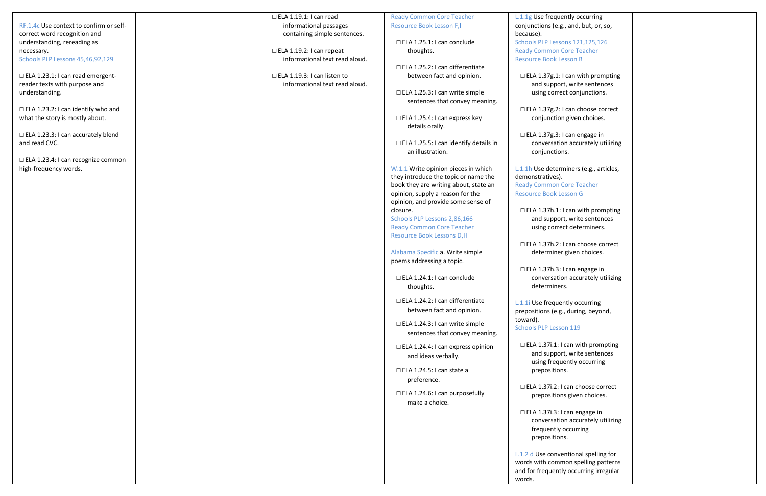RF.1.4c Use context to confirm or selfcorrect word recognition and understanding, rereading as necessary. Schools PLP Lessons 45,46,92,129 □ ELA 1.23.1: I can read emergentreader texts with purpose and understanding. ☐ ELA 1.23.2: I can identify who and what the story is mostly about. ☐ ELA 1.23.3: I can accurately blend and read CVC. ☐ ELA 1.23.4: I can recognize common high -frequency words. ☐ ELA 1.19.1: I can read informational passages containing simple sentences. ☐ ELA 1.19.2: I can repeat informational text read aloud. ☐ ELA 1.19.3: I can listen to informational text read aloud. Ready Common Core Teacher Resource Book Lesson F,I ☐ ELA 1.25.1: I can conclude thoughts. ☐ ELA 1.25.2: I can differentiate between fact and opinion. ☐ ELA 1.25.3: I can write simple sentences that convey meaning. ☐ ELA 1.25.4: I can express key details orally. ☐ ELA 1.25.5: I can identify details in an illustration. W.1.1 Write opinion pieces in which they introduce the topic or name the book they are writing about, state an opinion, supply a reason for the opinion, and provide some sense of closure. Schools PLP Lessons 2,86,166 Ready Common Core Teacher Resource Book Lessons D, H Alabama Specific a. Write simple poems addressing a topic. ☐ ELA 1.24.1: I can conclude thoughts. ☐ ELA 1.24.2: I can differentiate between fact and opinion. ☐ ELA 1.24.3: I can write simple sentences that convey meaning. ☐ ELA 1.24.4: I can express opinion and ideas verbally. ☐ ELA 1.24.5: I can state a preference. ☐ ELA 1.24.6: I can purposefully make a choice. L.1.1 $g$  Use freque conjunctions (e.g. because). Schools PLP Lesso Ready Common ( Resource Book Le  $\Box$  ELA 1.37g.1: and support using corre  $\Box$  ELA 1.37g.2: conjunction  $\Box$  ELA 1.37g.3: conversatio conjunction L.1.1h Use deterr demonstratives). **Ready Common C** Resource Book Le  $\Box$  ELA 1.37h.1: and suppor using corre  $□$  ELA 1.37h.2: determiner  $\Box$  ELA 1.37h.3: conversatio determiner  $L.1.1i$  Use freque prepositions (e.g. toward). Schools PLP Lesso  $\Box$  ELA 1.37i.1: I and suppor using frequ preposition  $\Box$  ELA 1.37i.2: I preposition □ ELA 1.37i.3: I conversatio frequently preposition L.1.2 d Use conve words with comn and for frequentl words.

| ently occurring<br>,., and, but, or, so,                                 |  |
|--------------------------------------------------------------------------|--|
| ons 121,125,126<br>Core Teacher<br>esson B                               |  |
| I can with prompting<br>t, write sentences<br>ct conjunctions.           |  |
| I can choose correct<br>n given choices.                                 |  |
| I can engage in<br>on accurately utilizing<br>ns.                        |  |
| miners (e.g., articles,                                                  |  |
| Core Teacher<br>esson G                                                  |  |
| I can with prompting<br>t, write sentences<br>ct determiners.            |  |
| I can choose correct<br>given choices.                                   |  |
| I can engage in<br>on accurately utilizing<br>٢S.                        |  |
| ntly occurring<br>., during, beyond,                                     |  |
| on 119                                                                   |  |
| can with prompting<br>t, write sentences<br>ently occurring<br>١S.       |  |
| can choose correct<br>is given choices.                                  |  |
| can engage in<br>on accurately utilizing<br>occurring<br>١S.             |  |
| entional spelling for<br>non spelling patterns<br>ly occurring irregular |  |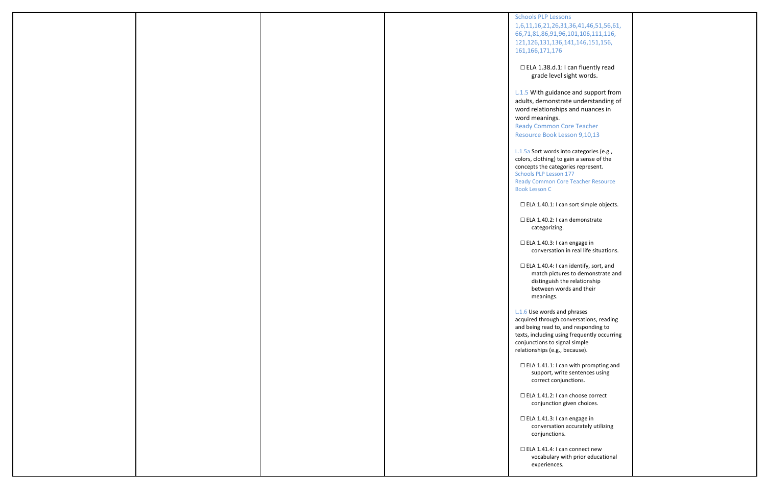| <b>Schools PLP Lessons</b>                                                                                                                                                                                                       |                                       |
|----------------------------------------------------------------------------------------------------------------------------------------------------------------------------------------------------------------------------------|---------------------------------------|
| 1,6,11,16,21,26,31,36,41,46,51,56,61,<br>66,71,81,86,91,96,101,106,111,116,<br>121, 126, 131, 136, 141, 146, 151, 156,<br>161, 166, 171, 176                                                                                     |                                       |
| □ ELA 1.38.d.1: I can fluently read<br>grade level sight words.                                                                                                                                                                  |                                       |
| L.1.5 With guidance and support from<br>adults, demonstrate understanding of<br>word relationships and nuances in<br>word meanings.<br><b>Ready Common Core Teacher</b><br>Resource Book Lesson 9,10,13                          |                                       |
| L.1.5a Sort words into categories (e.g.,<br>colors, clothing) to gain a sense of the<br>concepts the categories represent.<br>Schools PLP Lesson 177<br><b>Ready Common Core Teacher Resource</b><br><b>Book Lesson C</b>        |                                       |
| $\Box$ ELA 1.40.1: I can sort simple objects.                                                                                                                                                                                    |                                       |
| □ ELA 1.40.2: I can demonstrate<br>categorizing.                                                                                                                                                                                 |                                       |
| □ ELA 1.40.3: I can engage in                                                                                                                                                                                                    | conversation in real life situations. |
| $\Box$ ELA 1.40.4: I can identify, sort, and<br>distinguish the relationship<br>between words and their<br>meanings.                                                                                                             | match pictures to demonstrate and     |
| L.1.6 Use words and phrases<br>acquired through conversations, reading<br>and being read to, and responding to<br>texts, including using frequently occurring<br>conjunctions to signal simple<br>relationships (e.g., because). |                                       |
| $\Box$ ELA 1.41.1: I can with prompting and<br>support, write sentences using<br>correct conjunctions.                                                                                                                           |                                       |
| □ ELA 1.41.2: I can choose correct<br>conjunction given choices.                                                                                                                                                                 |                                       |
| □ ELA 1.41.3: I can engage in<br>conjunctions.                                                                                                                                                                                   | conversation accurately utilizing     |
| □ ELA 1.41.4: I can connect new<br>experiences.                                                                                                                                                                                  | vocabulary with prior educational     |